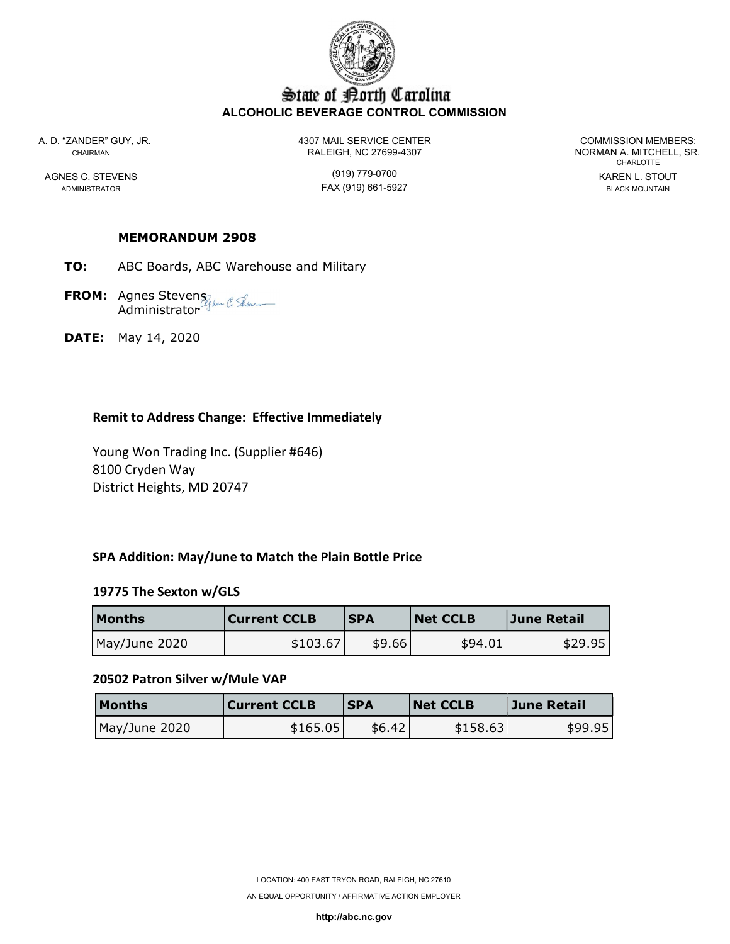

# State of Borth Carolina ALCOHOLIC BEVERAGE CONTROL COMMISSION

A. D. "ZANDER" GUY, JR. 4307 MAIL SERVICE CENTER COMMISSION MEMBERS: CHAIRMAN CHAIRMAN RALEIGH, NC 27699-4307

AGNES C. STEVENS GENERAL STOUT (919) 779-0700 ADMINISTRATOR FAX (919) 661-5927 BLACK MOUNTAIN

CHARLOTTE

## MEMORANDUM 2908

- TO: ABC Boards, ABC Warehouse and Military
- **FROM:** Agnes Stevens Administrator
- DATE: May 14, 2020

## Remit to Address Change: Effective Immediately

 Young Won Trading Inc. (Supplier #646) 8100 Cryden Way District Heights, MD 20747

## SPA Addition: May/June to Match the Plain Bottle Price

#### 19775 The Sexton w/GLS

| Months        | <b>Current CCLB</b> | <b>SPA</b> | <b>Net CCLB</b> | June Retail |
|---------------|---------------------|------------|-----------------|-------------|
| May/June 2020 | \$103.67            | \$9.66     | \$94.01         | \$29.95     |

#### 20502 Patron Silver w/Mule VAP

| <b>Months</b> | <b>Current CCLB</b> | <b>ISPA</b> | <b>Net CCLB</b> | June Retail |
|---------------|---------------------|-------------|-----------------|-------------|
| May/June 2020 | \$165.05            | \$6.42      | \$158.63        | \$99.95     |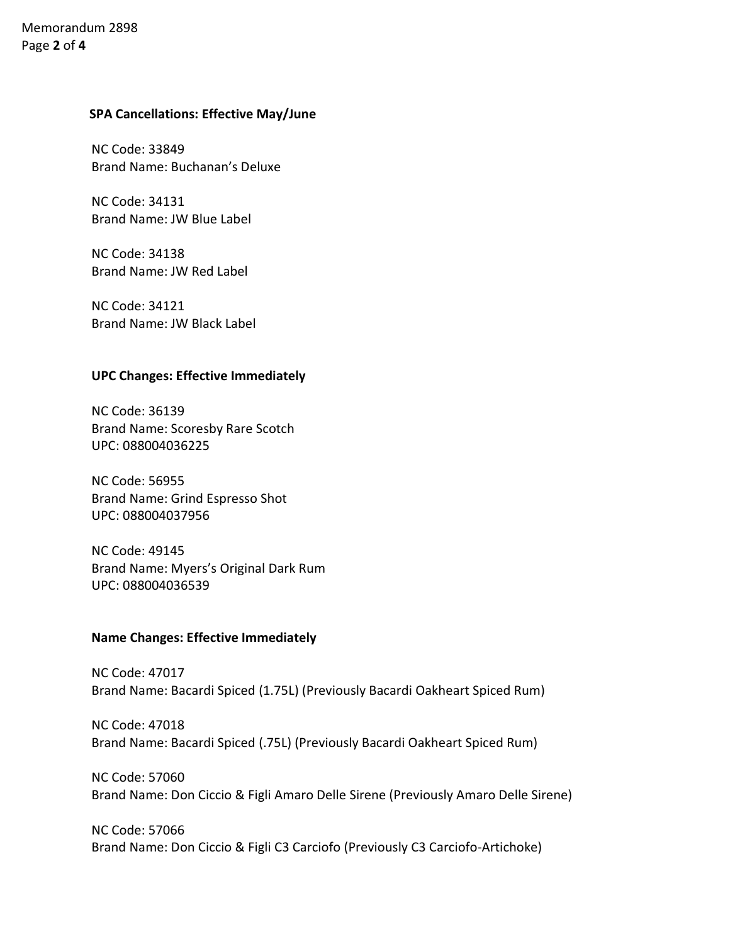# Memorandum 2898 Page 2 of 4

## SPA Cancellations: Effective May/June

NC Code: 33849 Brand Name: Buchanan's Deluxe

NC Code: 34131 Brand Name: JW Blue Label

NC Code: 34138 Brand Name: JW Red Label

NC Code: 34121 Brand Name: JW Black Label

## UPC Changes: Effective Immediately

NC Code: 36139 Brand Name: Scoresby Rare Scotch UPC: 088004036225

NC Code: 56955 Brand Name: Grind Espresso Shot UPC: 088004037956

NC Code: 49145 Brand Name: Myers's Original Dark Rum UPC: 088004036539

## Name Changes: Effective Immediately

NC Code: 47017 Brand Name: Bacardi Spiced (1.75L) (Previously Bacardi Oakheart Spiced Rum)

NC Code: 47018 Brand Name: Bacardi Spiced (.75L) (Previously Bacardi Oakheart Spiced Rum)

NC Code: 57060 Brand Name: Don Ciccio & Figli Amaro Delle Sirene (Previously Amaro Delle Sirene)

NC Code: 57066 Brand Name: Don Ciccio & Figli C3 Carciofo (Previously C3 Carciofo-Artichoke)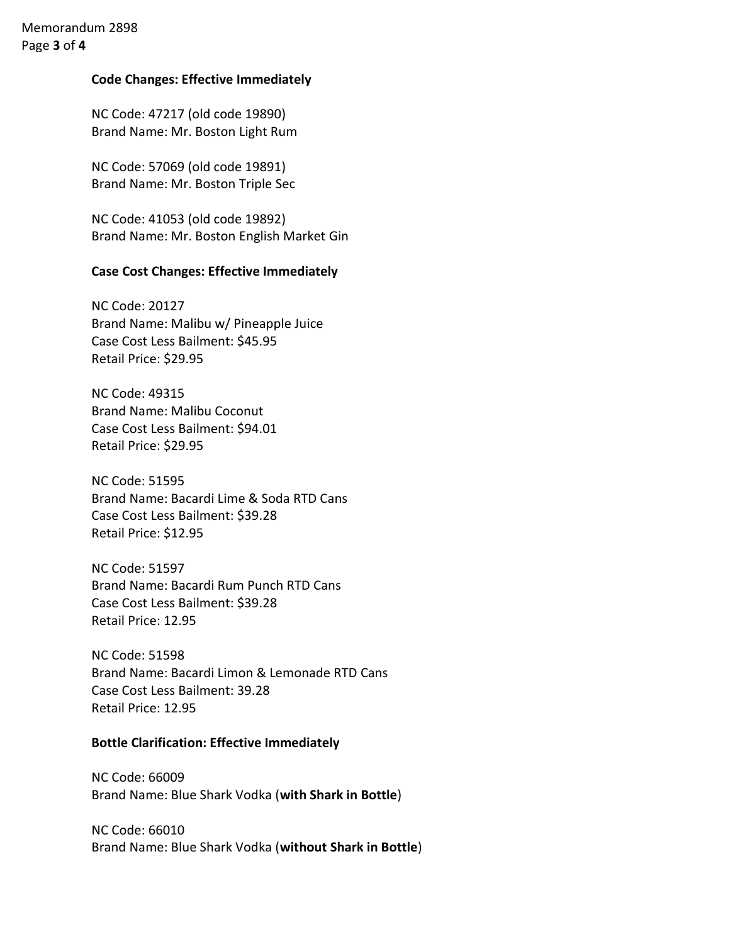# Memorandum 2898 Page 3 of 4

## Code Changes: Effective Immediately

NC Code: 47217 (old code 19890) Brand Name: Mr. Boston Light Rum

NC Code: 57069 (old code 19891) Brand Name: Mr. Boston Triple Sec

NC Code: 41053 (old code 19892) Brand Name: Mr. Boston English Market Gin

## Case Cost Changes: Effective Immediately

NC Code: 20127 Brand Name: Malibu w/ Pineapple Juice Case Cost Less Bailment: \$45.95 Retail Price: \$29.95

NC Code: 49315 Brand Name: Malibu Coconut Case Cost Less Bailment: \$94.01 Retail Price: \$29.95

NC Code: 51595 Brand Name: Bacardi Lime & Soda RTD Cans Case Cost Less Bailment: \$39.28 Retail Price: \$12.95

NC Code: 51597 Brand Name: Bacardi Rum Punch RTD Cans Case Cost Less Bailment: \$39.28 Retail Price: 12.95

NC Code: 51598 Brand Name: Bacardi Limon & Lemonade RTD Cans Case Cost Less Bailment: 39.28 Retail Price: 12.95

## Bottle Clarification: Effective Immediately

NC Code: 66009 Brand Name: Blue Shark Vodka (with Shark in Bottle)

NC Code: 66010 Brand Name: Blue Shark Vodka (without Shark in Bottle)